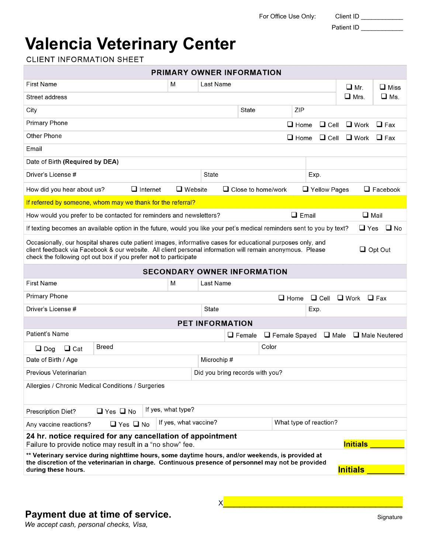For Office Use Only: Client ID \_\_\_\_

| Client IL |  |
|-----------|--|
|           |  |

Patient ID \_\_\_\_\_\_\_\_\_\_\_\_

## **Valencia Veterinary Center**

**CLIENT INFORMATION SHEET** 

| <b>PRIMARY OWNER INFORMATION</b>                                                                                                                                                                                                                                                                               |                      |                       |                                    |               |                                  |              |                        |                 |                 |
|----------------------------------------------------------------------------------------------------------------------------------------------------------------------------------------------------------------------------------------------------------------------------------------------------------------|----------------------|-----------------------|------------------------------------|---------------|----------------------------------|--------------|------------------------|-----------------|-----------------|
| <b>First Name</b>                                                                                                                                                                                                                                                                                              |                      | M                     | Last Name                          |               |                                  |              |                        | $\Box$ Mr.      | $\Box$ Miss     |
| Street address                                                                                                                                                                                                                                                                                                 |                      |                       |                                    |               |                                  |              |                        | $\square$ Mrs.  | $\square$ Ms.   |
| City                                                                                                                                                                                                                                                                                                           |                      |                       |                                    | <b>State</b>  |                                  | ZIP          |                        |                 |                 |
| <b>Primary Phone</b>                                                                                                                                                                                                                                                                                           |                      |                       |                                    |               |                                  | $\Box$ Home  | $\Box$ Cell            | $\Box$ Work     | $\Box$ Fax      |
| Other Phone                                                                                                                                                                                                                                                                                                    |                      |                       |                                    |               |                                  | $\Box$ Home  | $\Box$ Cell            | $\square$ Work  | $\Box$ Fax      |
| Email                                                                                                                                                                                                                                                                                                          |                      |                       |                                    |               |                                  |              |                        |                 |                 |
| Date of Birth (Required by DEA)                                                                                                                                                                                                                                                                                |                      |                       |                                    |               |                                  |              |                        |                 |                 |
| Driver's License #                                                                                                                                                                                                                                                                                             |                      |                       | <b>State</b>                       |               |                                  |              | Exp.                   |                 |                 |
| How did you hear about us?                                                                                                                                                                                                                                                                                     | $\Box$ Internet      | $\Box$ Website        |                                    |               | $\Box$ Close to home/work        |              | $\Box$ Yellow Pages    |                 | $\Box$ Facebook |
| If referred by someone, whom may we thank for the referral?                                                                                                                                                                                                                                                    |                      |                       |                                    |               |                                  |              |                        |                 |                 |
| How would you prefer to be contacted for reminders and newsletters?                                                                                                                                                                                                                                            |                      |                       |                                    |               |                                  | $\Box$ Email |                        | $\Box$ Mail     |                 |
| If texting becomes an available option in the future, would you like your pet's medical reminders sent to you by text?                                                                                                                                                                                         |                      |                       |                                    |               |                                  |              |                        | $\Box$ Yes      | $\Box$ No       |
| Occasionally, our hospital shares cute patient images, informative cases for educational purposes only, and<br>client feedback via Facebook & our website. All client personal information will remain anonymous. Please<br>$\Box$ Opt Out<br>check the following opt out box if you prefer not to participate |                      |                       |                                    |               |                                  |              |                        |                 |                 |
|                                                                                                                                                                                                                                                                                                                |                      |                       | <b>SECONDARY OWNER INFORMATION</b> |               |                                  |              |                        |                 |                 |
| <b>First Name</b>                                                                                                                                                                                                                                                                                              |                      | M                     | Last Name                          |               |                                  |              |                        |                 |                 |
| <b>Primary Phone</b>                                                                                                                                                                                                                                                                                           |                      |                       |                                    |               | $\Box$ Home                      |              | $\Box$ Cell            | $\square$ Work  | $\Box$ Fax      |
| Driver's License #                                                                                                                                                                                                                                                                                             |                      |                       | State                              |               |                                  |              | Exp.                   |                 |                 |
|                                                                                                                                                                                                                                                                                                                |                      |                       | <b>PET INFORMATION</b>             |               |                                  |              |                        |                 |                 |
| Patient's Name                                                                                                                                                                                                                                                                                                 |                      |                       |                                    | $\Box$ Female | $\Box$ Female Spayed $\Box$ Male |              |                        |                 | Male Neutered   |
| $\Box$ Cat<br>$\Box$ Dog                                                                                                                                                                                                                                                                                       | Breed                |                       |                                    |               | Color                            |              |                        |                 |                 |
| Date of Birth / Age                                                                                                                                                                                                                                                                                            |                      |                       | Microchip#                         |               |                                  |              |                        |                 |                 |
| Previous Veterinarian<br>Did you bring records with you?                                                                                                                                                                                                                                                       |                      |                       |                                    |               |                                  |              |                        |                 |                 |
| Allergies / Chronic Medical Conditions / Surgeries                                                                                                                                                                                                                                                             |                      |                       |                                    |               |                                  |              |                        |                 |                 |
| <b>Prescription Diet?</b>                                                                                                                                                                                                                                                                                      | $\Box$ Yes $\Box$ No | If yes, what type?    |                                    |               |                                  |              |                        |                 |                 |
| Any vaccine reactions?                                                                                                                                                                                                                                                                                         | $\Box$ Yes $\Box$ No | If yes, what vaccine? |                                    |               |                                  |              | What type of reaction? |                 |                 |
| 24 hr. notice required for any cancellation of appointment<br><b>Initials</b><br>Failure to provide notice may result in a "no show" fee.                                                                                                                                                                      |                      |                       |                                    |               |                                  |              |                        |                 |                 |
| ** Veterinary service during nighttime hours, some daytime hours, and/or weekends, is provided at<br>the discretion of the veterinarian in charge. Continuous presence of personnel may not be provided<br>during these hours.                                                                                 |                      |                       |                                    |               |                                  |              |                        | <b>Initials</b> |                 |

## **Payment due at time of service.** The state of  $S_{\text{ignature}}$

*We accept cash, personal checks, Visa,*

 ${\sf X}$  , which is a subset of the set of the set of the set of the set of the set of the set of the set of the set of the set of the set of the set of the set of the set of the set of the set of the set of the set of the